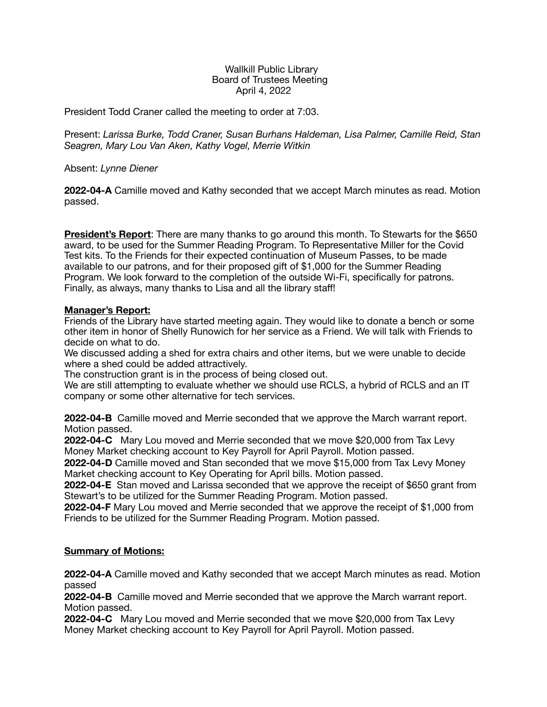## Wallkill Public Library Board of Trustees Meeting April 4, 2022

President Todd Craner called the meeting to order at 7:03.

Present: *Larissa Burke, Todd Craner, Susan Burhans Haldeman, Lisa Palmer, Camille Reid, Stan Seagren, Mary Lou Van Aken, Kathy Vogel, Merrie Witkin* 

Absent: *Lynne Diener* 

**2022-04-A** Camille moved and Kathy seconded that we accept March minutes as read. Motion passed.

**President's Report**: There are many thanks to go around this month. To Stewarts for the \$650 award, to be used for the Summer Reading Program. To Representative Miller for the Covid Test kits. To the Friends for their expected continuation of Museum Passes, to be made available to our patrons, and for their proposed gift of \$1,000 for the Summer Reading Program. We look forward to the completion of the outside Wi-Fi, specifically for patrons. Finally, as always, many thanks to Lisa and all the library staff!

## **Manager's Report:**

Friends of the Library have started meeting again. They would like to donate a bench or some other item in honor of Shelly Runowich for her service as a Friend. We will talk with Friends to decide on what to do.

We discussed adding a shed for extra chairs and other items, but we were unable to decide where a shed could be added attractively.

The construction grant is in the process of being closed out.

We are still attempting to evaluate whether we should use RCLS, a hybrid of RCLS and an IT company or some other alternative for tech services.

**2022-04-B** Camille moved and Merrie seconded that we approve the March warrant report. Motion passed.

**2022-04-C** Mary Lou moved and Merrie seconded that we move \$20,000 from Tax Levy Money Market checking account to Key Payroll for April Payroll. Motion passed.

**2022-04-D** Camille moved and Stan seconded that we move \$15,000 from Tax Levy Money Market checking account to Key Operating for April bills. Motion passed.

**2022-04-E** Stan moved and Larissa seconded that we approve the receipt of \$650 grant from Stewart's to be utilized for the Summer Reading Program. Motion passed.

**2022-04-F** Mary Lou moved and Merrie seconded that we approve the receipt of \$1,000 from Friends to be utilized for the Summer Reading Program. Motion passed.

## **Summary of Motions:**

**2022-04-A** Camille moved and Kathy seconded that we accept March minutes as read. Motion passed

**2022-04-B** Camille moved and Merrie seconded that we approve the March warrant report. Motion passed.

**2022-04-C** Mary Lou moved and Merrie seconded that we move \$20,000 from Tax Levy Money Market checking account to Key Payroll for April Payroll. Motion passed.